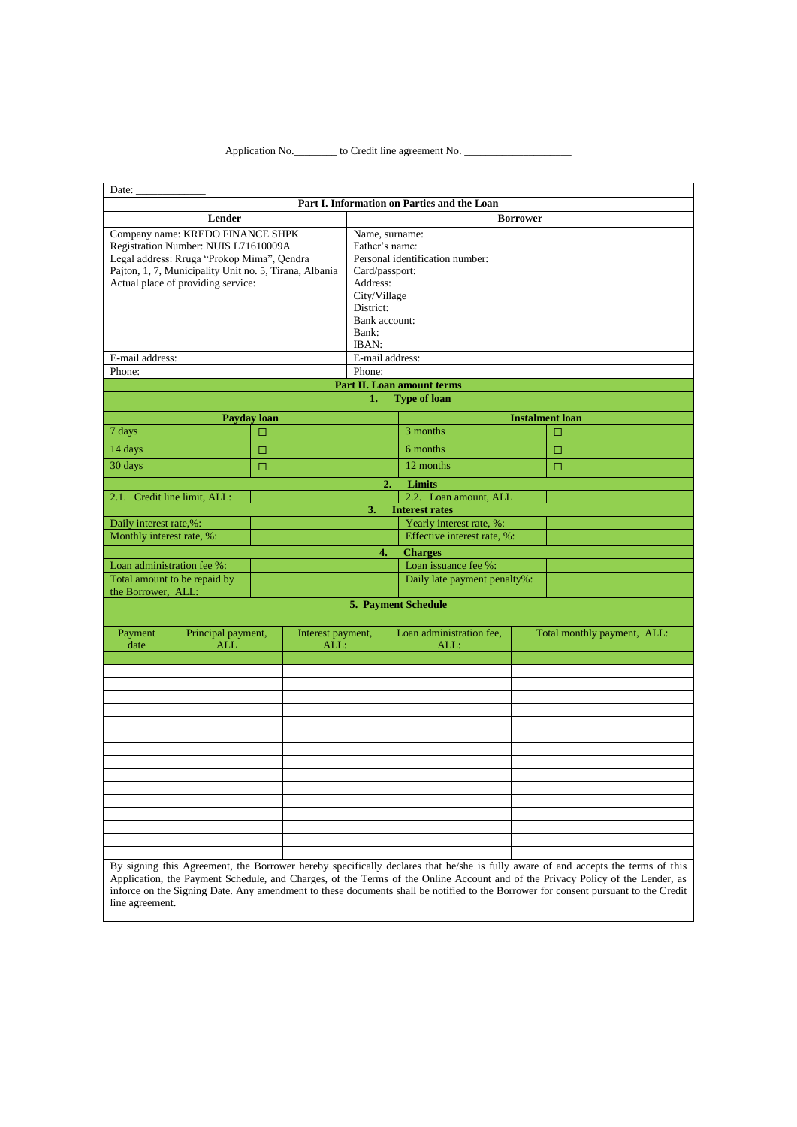## Application No. \_\_\_\_\_\_\_\_\_\_\_\_\_\_ to Credit line agreement No. \_

| Date:                                               |                                                                                                                                                                                                                        |        |                           |                                                                                                                                |                                                         |                 |                                                                                                                                  |
|-----------------------------------------------------|------------------------------------------------------------------------------------------------------------------------------------------------------------------------------------------------------------------------|--------|---------------------------|--------------------------------------------------------------------------------------------------------------------------------|---------------------------------------------------------|-----------------|----------------------------------------------------------------------------------------------------------------------------------|
|                                                     |                                                                                                                                                                                                                        |        |                           |                                                                                                                                | Part I. Information on Parties and the Loan             |                 |                                                                                                                                  |
|                                                     | Lender                                                                                                                                                                                                                 |        |                           |                                                                                                                                |                                                         | <b>Borrower</b> |                                                                                                                                  |
|                                                     | Company name: KREDO FINANCE SHPK<br>Registration Number: NUIS L71610009A<br>Legal address: Rruga "Prokop Mima", Qendra<br>Pajton, 1, 7, Municipality Unit no. 5, Tirana, Albania<br>Actual place of providing service: |        |                           | Name, surname:<br>Father's name:<br>Card/passport:<br>Address:<br>City/Village<br>District:<br>Bank account:<br>Bank:<br>IBAN: | Personal identification number:                         |                 |                                                                                                                                  |
| E-mail address:                                     |                                                                                                                                                                                                                        |        |                           | E-mail address:                                                                                                                |                                                         |                 |                                                                                                                                  |
| Phone:                                              |                                                                                                                                                                                                                        |        |                           | Phone:                                                                                                                         |                                                         |                 |                                                                                                                                  |
|                                                     |                                                                                                                                                                                                                        |        |                           |                                                                                                                                | <b>Part II. Loan amount terms</b>                       |                 |                                                                                                                                  |
|                                                     |                                                                                                                                                                                                                        |        |                           | 1.                                                                                                                             | <b>Type of loan</b>                                     |                 |                                                                                                                                  |
|                                                     | Payday loan                                                                                                                                                                                                            |        |                           |                                                                                                                                |                                                         |                 | <b>Instalment loan</b>                                                                                                           |
| 7 days                                              |                                                                                                                                                                                                                        | $\Box$ |                           |                                                                                                                                | 3 months                                                |                 | $\Box$                                                                                                                           |
| 14 days                                             |                                                                                                                                                                                                                        | $\Box$ |                           |                                                                                                                                | 6 months                                                |                 | □                                                                                                                                |
| 30 days                                             |                                                                                                                                                                                                                        | $\Box$ |                           |                                                                                                                                | 12 months                                               |                 | $\Box$                                                                                                                           |
|                                                     |                                                                                                                                                                                                                        |        |                           | 2.                                                                                                                             | <b>Limits</b>                                           |                 |                                                                                                                                  |
| 2.1.                                                | Credit line limit, ALL:                                                                                                                                                                                                |        |                           |                                                                                                                                | 2.2. Loan amount, ALL                                   |                 |                                                                                                                                  |
|                                                     |                                                                                                                                                                                                                        |        |                           | 3.                                                                                                                             | <b>Interest rates</b>                                   |                 |                                                                                                                                  |
| Daily interest rate,%:<br>Monthly interest rate, %: |                                                                                                                                                                                                                        |        |                           |                                                                                                                                | Yearly interest rate, %:<br>Effective interest rate, %: |                 |                                                                                                                                  |
|                                                     |                                                                                                                                                                                                                        |        |                           | 4.                                                                                                                             | <b>Charges</b>                                          |                 |                                                                                                                                  |
| Loan administration fee %:                          |                                                                                                                                                                                                                        |        |                           |                                                                                                                                | Loan issuance fee %:                                    |                 |                                                                                                                                  |
|                                                     | Total amount to be repaid by                                                                                                                                                                                           |        |                           |                                                                                                                                | Daily late payment penalty%:                            |                 |                                                                                                                                  |
| the Borrower, ALL:                                  |                                                                                                                                                                                                                        |        |                           |                                                                                                                                | 5. Payment Schedule                                     |                 |                                                                                                                                  |
|                                                     |                                                                                                                                                                                                                        |        |                           |                                                                                                                                |                                                         |                 |                                                                                                                                  |
| Payment<br>date                                     | Principal payment,<br>ALL                                                                                                                                                                                              |        | Interest payment,<br>ALL: |                                                                                                                                | Loan administration fee,<br>ALL:                        |                 | Total monthly payment, ALL:                                                                                                      |
|                                                     |                                                                                                                                                                                                                        |        |                           |                                                                                                                                |                                                         |                 |                                                                                                                                  |
|                                                     |                                                                                                                                                                                                                        |        |                           |                                                                                                                                |                                                         |                 |                                                                                                                                  |
|                                                     |                                                                                                                                                                                                                        |        |                           |                                                                                                                                |                                                         |                 |                                                                                                                                  |
|                                                     |                                                                                                                                                                                                                        |        |                           |                                                                                                                                |                                                         |                 |                                                                                                                                  |
|                                                     |                                                                                                                                                                                                                        |        |                           |                                                                                                                                |                                                         |                 |                                                                                                                                  |
|                                                     |                                                                                                                                                                                                                        |        |                           |                                                                                                                                |                                                         |                 |                                                                                                                                  |
|                                                     |                                                                                                                                                                                                                        |        |                           |                                                                                                                                |                                                         |                 |                                                                                                                                  |
|                                                     |                                                                                                                                                                                                                        |        |                           |                                                                                                                                |                                                         |                 |                                                                                                                                  |
|                                                     |                                                                                                                                                                                                                        |        |                           |                                                                                                                                |                                                         |                 |                                                                                                                                  |
|                                                     |                                                                                                                                                                                                                        |        |                           |                                                                                                                                |                                                         |                 |                                                                                                                                  |
|                                                     |                                                                                                                                                                                                                        |        |                           |                                                                                                                                |                                                         |                 |                                                                                                                                  |
|                                                     |                                                                                                                                                                                                                        |        |                           |                                                                                                                                |                                                         |                 |                                                                                                                                  |
|                                                     |                                                                                                                                                                                                                        |        |                           |                                                                                                                                |                                                         |                 |                                                                                                                                  |
|                                                     |                                                                                                                                                                                                                        |        |                           |                                                                                                                                |                                                         |                 | By signing this Agreement, the Borrower hereby specifically declares that he/she is fully aware of and accepts the terms of this |

Application, the Payment Schedule, and Charges, of the Terms of the Online Account and of the Privacy Policy of the Lender, as inforce on the Signing Date. Any amendment to these documents shall be notified to the Borrower for consent pursuant to the Credit line agreement.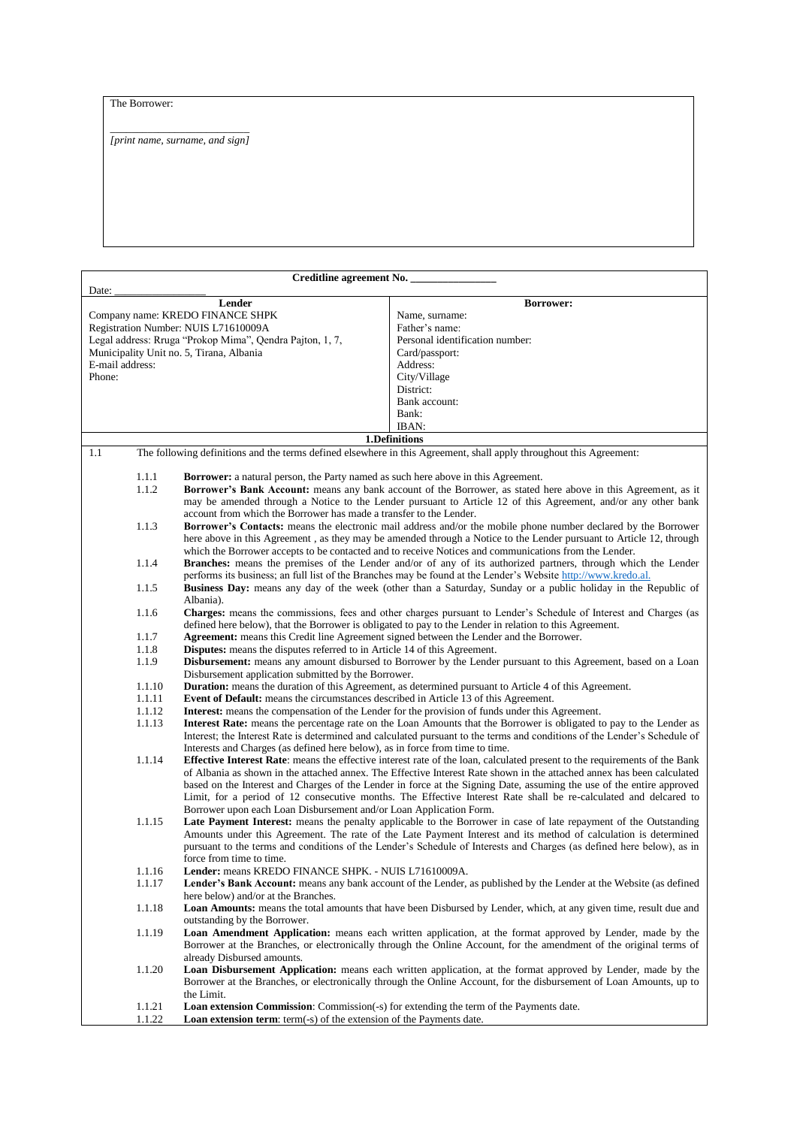## The Borrower:

\_\_\_\_\_\_\_\_\_\_\_\_\_\_\_\_\_\_\_\_\_\_\_\_\_\_ *[print name, surname, and sign]*

|        |                 | Creditline agreement No.                                                                    |                                                                                                                            |
|--------|-----------------|---------------------------------------------------------------------------------------------|----------------------------------------------------------------------------------------------------------------------------|
| Date:  |                 |                                                                                             |                                                                                                                            |
|        |                 | Lender                                                                                      | <b>Borrower:</b>                                                                                                           |
|        |                 | Company name: KREDO FINANCE SHPK                                                            | Name, surname:                                                                                                             |
|        |                 | Registration Number: NUIS L71610009A                                                        | Father's name:                                                                                                             |
|        |                 | Legal address: Rruga "Prokop Mima", Qendra Pajton, 1, 7,                                    | Personal identification number:                                                                                            |
|        |                 | Municipality Unit no. 5, Tirana, Albania                                                    | Card/passport:                                                                                                             |
|        | E-mail address: |                                                                                             | Address:                                                                                                                   |
| Phone: |                 |                                                                                             | City/Village                                                                                                               |
|        |                 |                                                                                             | District:                                                                                                                  |
|        |                 |                                                                                             | Bank account:                                                                                                              |
|        |                 |                                                                                             | Bank:                                                                                                                      |
|        |                 |                                                                                             |                                                                                                                            |
|        |                 |                                                                                             | IBAN:                                                                                                                      |
|        |                 |                                                                                             | 1.Definitions                                                                                                              |
| 1.1    |                 |                                                                                             | The following definitions and the terms defined elsewhere in this Agreement, shall apply throughout this Agreement:        |
|        |                 |                                                                                             |                                                                                                                            |
|        | 1.1.1           | <b>Borrower:</b> a natural person, the Party named as such here above in this Agreement.    |                                                                                                                            |
|        | 1.1.2           |                                                                                             | Borrower's Bank Account: means any bank account of the Borrower, as stated here above in this Agreement, as it             |
|        |                 |                                                                                             | may be amended through a Notice to the Lender pursuant to Article 12 of this Agreement, and/or any other bank              |
|        |                 | account from which the Borrower has made a transfer to the Lender.                          |                                                                                                                            |
|        | 1.1.3           |                                                                                             | Borrower's Contacts: means the electronic mail address and/or the mobile phone number declared by the Borrower             |
|        |                 |                                                                                             | here above in this Agreement, as they may be amended through a Notice to the Lender pursuant to Article 12, through        |
|        |                 |                                                                                             | which the Borrower accepts to be contacted and to receive Notices and communications from the Lender.                      |
|        | 1.1.4           |                                                                                             | Branches: means the premises of the Lender and/or of any of its authorized partners, through which the Lender              |
|        |                 |                                                                                             | performs its business; an full list of the Branches may be found at the Lender's Website http://www.kredo.al.              |
|        | 1.1.5           |                                                                                             | <b>Business Day:</b> means any day of the week (other than a Saturday, Sunday or a public holiday in the Republic of       |
|        |                 | Albania).                                                                                   |                                                                                                                            |
|        | 1.1.6           |                                                                                             | Charges: means the commissions, fees and other charges pursuant to Lender's Schedule of Interest and Charges (as           |
|        |                 |                                                                                             | defined here below), that the Borrower is obligated to pay to the Lender in relation to this Agreement.                    |
|        | 1.1.7           |                                                                                             | Agreement: means this Credit line Agreement signed between the Lender and the Borrower.                                    |
|        | 1.1.8           | <b>Disputes:</b> means the disputes referred to in Article 14 of this Agreement.            |                                                                                                                            |
|        | 1.1.9           |                                                                                             | <b>Disbursement:</b> means any amount disbursed to Borrower by the Lender pursuant to this Agreement, based on a Loan      |
|        |                 | Disbursement application submitted by the Borrower.                                         |                                                                                                                            |
|        | 1.1.10          |                                                                                             | <b>Duration:</b> means the duration of this Agreement, as determined pursuant to Article 4 of this Agreement.              |
|        | 1.1.11          | <b>Event of Default:</b> means the circumstances described in Article 13 of this Agreement. |                                                                                                                            |
|        | 1.1.12          |                                                                                             | <b>Interest:</b> means the compensation of the Lender for the provision of funds under this Agreement.                     |
|        |                 |                                                                                             |                                                                                                                            |
|        | 1.1.13          |                                                                                             | Interest Rate: means the percentage rate on the Loan Amounts that the Borrower is obligated to pay to the Lender as        |
|        |                 |                                                                                             | Interest; the Interest Rate is determined and calculated pursuant to the terms and conditions of the Lender's Schedule of  |
|        |                 | Interests and Charges (as defined here below), as in force from time to time.               |                                                                                                                            |
|        | 1.1.14          |                                                                                             | Effective Interest Rate: means the effective interest rate of the loan, calculated present to the requirements of the Bank |
|        |                 |                                                                                             | of Albania as shown in the attached annex. The Effective Interest Rate shown in the attached annex has been calculated     |
|        |                 |                                                                                             | based on the Interest and Charges of the Lender in force at the Signing Date, assuming the use of the entire approved      |
|        |                 |                                                                                             | Limit, for a period of 12 consecutive months. The Effective Interest Rate shall be re-calculated and delcared to           |
|        |                 | Borrower upon each Loan Disbursement and/or Loan Application Form.                          |                                                                                                                            |
|        | 1.1.15          |                                                                                             | Late Payment Interest: means the penalty applicable to the Borrower in case of late repayment of the Outstanding           |
|        |                 |                                                                                             | Amounts under this Agreement. The rate of the Late Payment Interest and its method of calculation is determined            |
|        |                 |                                                                                             | pursuant to the terms and conditions of the Lender's Schedule of Interests and Charges (as defined here below), as in      |
|        |                 | force from time to time.                                                                    |                                                                                                                            |
|        | 1.1.16          | Lender: means KREDO FINANCE SHPK. - NUIS L71610009A.                                        |                                                                                                                            |
|        | 1.1.17          |                                                                                             | <b>Lender's Bank Account:</b> means any bank account of the Lender, as published by the Lender at the Website (as defined  |
|        |                 | here below) and/or at the Branches.                                                         |                                                                                                                            |
|        | 1.1.18          |                                                                                             | <b>Loan Amounts:</b> means the total amounts that have been Disbursed by Lender, which, at any given time, result due and  |
|        |                 | outstanding by the Borrower.                                                                |                                                                                                                            |
|        | 1.1.19          |                                                                                             | Loan Amendment Application: means each written application, at the format approved by Lender, made by the                  |
|        |                 |                                                                                             | Borrower at the Branches, or electronically through the Online Account, for the amendment of the original terms of         |
|        |                 | already Disbursed amounts.                                                                  |                                                                                                                            |
|        | 1.1.20          |                                                                                             | Loan Disbursement Application: means each written application, at the format approved by Lender, made by the               |
|        |                 |                                                                                             | Borrower at the Branches, or electronically through the Online Account, for the disbursement of Loan Amounts, up to        |
|        |                 | the Limit.                                                                                  |                                                                                                                            |
|        |                 |                                                                                             |                                                                                                                            |
|        | 1.1.21          |                                                                                             | <b>Loan extension Commission:</b> Commission(-s) for extending the term of the Payments date.                              |
|        | 1.1.22          | <b>Loan extension term:</b> term(-s) of the extension of the Payments date.                 |                                                                                                                            |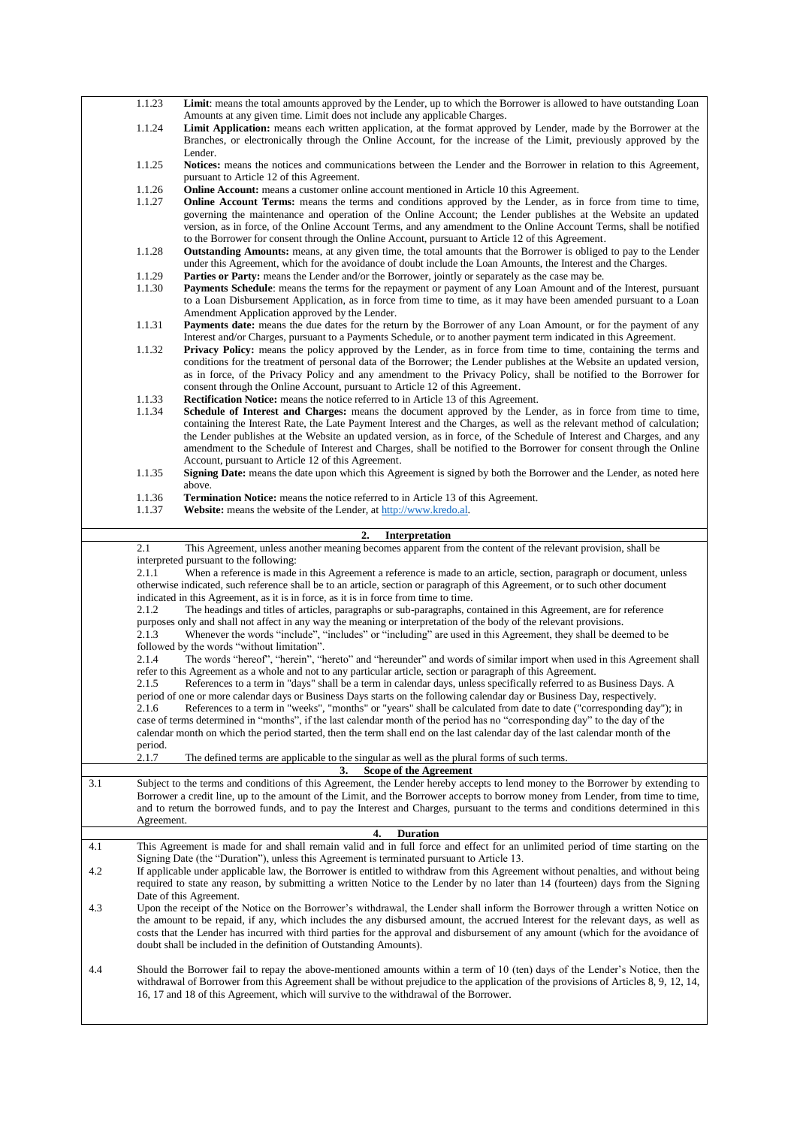|     | 1.1.23           | Limit: means the total amounts approved by the Lender, up to which the Borrower is allowed to have outstanding Loan                                                                                                                                                                                                                                                                                                                                                                                                                                                                                                                                                                                                                                        |
|-----|------------------|------------------------------------------------------------------------------------------------------------------------------------------------------------------------------------------------------------------------------------------------------------------------------------------------------------------------------------------------------------------------------------------------------------------------------------------------------------------------------------------------------------------------------------------------------------------------------------------------------------------------------------------------------------------------------------------------------------------------------------------------------------|
|     | 1.1.24           | Amounts at any given time. Limit does not include any applicable Charges.<br>Limit Application: means each written application, at the format approved by Lender, made by the Borrower at the<br>Branches, or electronically through the Online Account, for the increase of the Limit, previously approved by the                                                                                                                                                                                                                                                                                                                                                                                                                                         |
|     |                  | Lender.                                                                                                                                                                                                                                                                                                                                                                                                                                                                                                                                                                                                                                                                                                                                                    |
|     | 1.1.25           | Notices: means the notices and communications between the Lender and the Borrower in relation to this Agreement,<br>pursuant to Article 12 of this Agreement.                                                                                                                                                                                                                                                                                                                                                                                                                                                                                                                                                                                              |
|     | 1.1.26           | <b>Online Account:</b> means a customer online account mentioned in Article 10 this Agreement.                                                                                                                                                                                                                                                                                                                                                                                                                                                                                                                                                                                                                                                             |
|     | 1.1.27           | <b>Online Account Terms:</b> means the terms and conditions approved by the Lender, as in force from time to time,<br>governing the maintenance and operation of the Online Account; the Lender publishes at the Website an updated<br>version, as in force, of the Online Account Terms, and any amendment to the Online Account Terms, shall be notified<br>to the Borrower for consent through the Online Account, pursuant to Article 12 of this Agreement.                                                                                                                                                                                                                                                                                            |
|     | 1.1.28           | <b>Outstanding Amounts:</b> means, at any given time, the total amounts that the Borrower is obliged to pay to the Lender<br>under this Agreement, which for the avoidance of doubt include the Loan Amounts, the Interest and the Charges.                                                                                                                                                                                                                                                                                                                                                                                                                                                                                                                |
|     | 1.1.29<br>1.1.30 | <b>Parties or Party:</b> means the Lender and/or the Borrower, jointly or separately as the case may be.<br>Payments Schedule: means the terms for the repayment or payment of any Loan Amount and of the Interest, pursuant                                                                                                                                                                                                                                                                                                                                                                                                                                                                                                                               |
|     |                  | to a Loan Disbursement Application, as in force from time to time, as it may have been amended pursuant to a Loan<br>Amendment Application approved by the Lender.                                                                                                                                                                                                                                                                                                                                                                                                                                                                                                                                                                                         |
|     | 1.1.31           | Payments date: means the due dates for the return by the Borrower of any Loan Amount, or for the payment of any<br>Interest and/or Charges, pursuant to a Payments Schedule, or to another payment term indicated in this Agreement.                                                                                                                                                                                                                                                                                                                                                                                                                                                                                                                       |
|     | 1.1.32           | <b>Privacy Policy:</b> means the policy approved by the Lender, as in force from time to time, containing the terms and<br>conditions for the treatment of personal data of the Borrower; the Lender publishes at the Website an updated version,<br>as in force, of the Privacy Policy and any amendment to the Privacy Policy, shall be notified to the Borrower for<br>consent through the Online Account, pursuant to Article 12 of this Agreement.                                                                                                                                                                                                                                                                                                    |
|     | 1.1.33           | <b>Rectification Notice:</b> means the notice referred to in Article 13 of this Agreement.                                                                                                                                                                                                                                                                                                                                                                                                                                                                                                                                                                                                                                                                 |
|     | 1.1.34<br>1.1.35 | Schedule of Interest and Charges: means the document approved by the Lender, as in force from time to time,<br>containing the Interest Rate, the Late Payment Interest and the Charges, as well as the relevant method of calculation;<br>the Lender publishes at the Website an updated version, as in force, of the Schedule of Interest and Charges, and any<br>amendment to the Schedule of Interest and Charges, shall be notified to the Borrower for consent through the Online<br>Account, pursuant to Article 12 of this Agreement.<br>Signing Date: means the date upon which this Agreement is signed by both the Borrower and the Lender, as noted here                                                                                        |
|     |                  | above.                                                                                                                                                                                                                                                                                                                                                                                                                                                                                                                                                                                                                                                                                                                                                     |
|     | 1.1.36<br>1.1.37 | <b>Termination Notice:</b> means the notice referred to in Article 13 of this Agreement.<br>Website: means the website of the Lender, at http://www.kredo.al.                                                                                                                                                                                                                                                                                                                                                                                                                                                                                                                                                                                              |
|     |                  |                                                                                                                                                                                                                                                                                                                                                                                                                                                                                                                                                                                                                                                                                                                                                            |
|     | 2.1              | 2.<br>Interpretation<br>This Agreement, unless another meaning becomes apparent from the content of the relevant provision, shall be                                                                                                                                                                                                                                                                                                                                                                                                                                                                                                                                                                                                                       |
|     |                  | interpreted pursuant to the following:                                                                                                                                                                                                                                                                                                                                                                                                                                                                                                                                                                                                                                                                                                                     |
|     |                  |                                                                                                                                                                                                                                                                                                                                                                                                                                                                                                                                                                                                                                                                                                                                                            |
|     | 2.1.1            | When a reference is made in this Agreement a reference is made to an article, section, paragraph or document, unless<br>otherwise indicated, such reference shall be to an article, section or paragraph of this Agreement, or to such other document                                                                                                                                                                                                                                                                                                                                                                                                                                                                                                      |
|     | 2.1.2            | indicated in this Agreement, as it is in force, as it is in force from time to time.                                                                                                                                                                                                                                                                                                                                                                                                                                                                                                                                                                                                                                                                       |
|     |                  | The headings and titles of articles, paragraphs or sub-paragraphs, contained in this Agreement, are for reference<br>purposes only and shall not affect in any way the meaning or interpretation of the body of the relevant provisions.                                                                                                                                                                                                                                                                                                                                                                                                                                                                                                                   |
|     | 2.1.3            | Whenever the words "include", "includes" or "including" are used in this Agreement, they shall be deemed to be<br>followed by the words "without limitation".                                                                                                                                                                                                                                                                                                                                                                                                                                                                                                                                                                                              |
|     | 2.1.4            | The words "hereof", "herein", "hereto" and "hereunder" and words of similar import when used in this Agreement shall                                                                                                                                                                                                                                                                                                                                                                                                                                                                                                                                                                                                                                       |
|     | 2.1.5<br>2.1.6   | refer to this Agreement as a whole and not to any particular article, section or paragraph of this Agreement.<br>References to a term in "days" shall be a term in calendar days, unless specifically referred to as Business Days. A<br>period of one or more calendar days or Business Days starts on the following calendar day or Business Day, respectively.<br>References to a term in "weeks", "months" or "years" shall be calculated from date to date ("corresponding day"); in<br>case of terms determined in "months", if the last calendar month of the period has no "corresponding day" to the day of the<br>calendar month on which the period started, then the term shall end on the last calendar day of the last calendar month of the |
|     | period.<br>2.1.7 | The defined terms are applicable to the singular as well as the plural forms of such terms.                                                                                                                                                                                                                                                                                                                                                                                                                                                                                                                                                                                                                                                                |
|     |                  | Scope of the Agreement<br>3.                                                                                                                                                                                                                                                                                                                                                                                                                                                                                                                                                                                                                                                                                                                               |
| 3.1 |                  | Subject to the terms and conditions of this Agreement, the Lender hereby accepts to lend money to the Borrower by extending to<br>Borrower a credit line, up to the amount of the Limit, and the Borrower accepts to borrow money from Lender, from time to time,<br>and to return the borrowed funds, and to pay the Interest and Charges, pursuant to the terms and conditions determined in this                                                                                                                                                                                                                                                                                                                                                        |
|     | Agreement.       | <b>Duration</b><br>4.                                                                                                                                                                                                                                                                                                                                                                                                                                                                                                                                                                                                                                                                                                                                      |
| 4.1 |                  | This Agreement is made for and shall remain valid and in full force and effect for an unlimited period of time starting on the                                                                                                                                                                                                                                                                                                                                                                                                                                                                                                                                                                                                                             |
| 4.2 |                  | Signing Date (the "Duration"), unless this Agreement is terminated pursuant to Article 13.<br>If applicable under applicable law, the Borrower is entitled to withdraw from this Agreement without penalties, and without being<br>required to state any reason, by submitting a written Notice to the Lender by no later than 14 (fourteen) days from the Signing                                                                                                                                                                                                                                                                                                                                                                                         |
| 4.3 |                  | Date of this Agreement.<br>Upon the receipt of the Notice on the Borrower's withdrawal, the Lender shall inform the Borrower through a written Notice on<br>the amount to be repaid, if any, which includes the any disbursed amount, the accrued Interest for the relevant days, as well as<br>costs that the Lender has incurred with third parties for the approval and disbursement of any amount (which for the avoidance of<br>doubt shall be included in the definition of Outstanding Amounts).                                                                                                                                                                                                                                                    |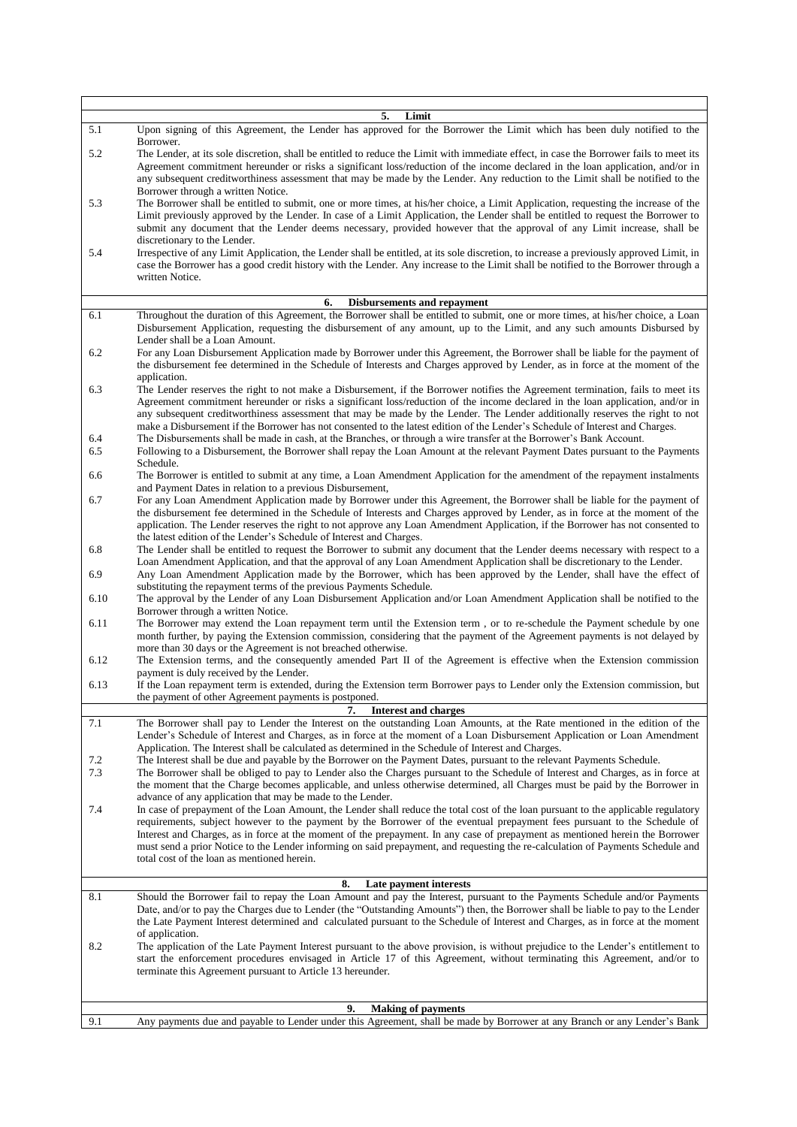<span id="page-3-1"></span><span id="page-3-0"></span>

|      | 5.<br>Limit                                                                                                                                                                                                                                                             |
|------|-------------------------------------------------------------------------------------------------------------------------------------------------------------------------------------------------------------------------------------------------------------------------|
| 5.1  | Upon signing of this Agreement, the Lender has approved for the Borrower the Limit which has been duly notified to the                                                                                                                                                  |
| 5.2  | Borrower.<br>The Lender, at its sole discretion, shall be entitled to reduce the Limit with immediate effect, in case the Borrower fails to meet its                                                                                                                    |
|      | Agreement commitment hereunder or risks a significant loss/reduction of the income declared in the loan application, and/or in                                                                                                                                          |
|      | any subsequent creditworthiness assessment that may be made by the Lender. Any reduction to the Limit shall be notified to the                                                                                                                                          |
|      | Borrower through a written Notice.                                                                                                                                                                                                                                      |
| 5.3  | The Borrower shall be entitled to submit, one or more times, at his/her choice, a Limit Application, requesting the increase of the<br>Limit previously approved by the Lender. In case of a Limit Application, the Lender shall be entitled to request the Borrower to |
|      | submit any document that the Lender deems necessary, provided however that the approval of any Limit increase, shall be                                                                                                                                                 |
|      | discretionary to the Lender.                                                                                                                                                                                                                                            |
| 5.4  | Irrespective of any Limit Application, the Lender shall be entitled, at its sole discretion, to increase a previously approved Limit, in                                                                                                                                |
|      | case the Borrower has a good credit history with the Lender. Any increase to the Limit shall be notified to the Borrower through a                                                                                                                                      |
|      | written Notice.                                                                                                                                                                                                                                                         |
|      | 6.<br><b>Disbursements and repayment</b>                                                                                                                                                                                                                                |
| 6.1  | Throughout the duration of this Agreement, the Borrower shall be entitled to submit, one or more times, at his/her choice, a Loan                                                                                                                                       |
|      | Disbursement Application, requesting the disbursement of any amount, up to the Limit, and any such amounts Disbursed by                                                                                                                                                 |
|      | Lender shall be a Loan Amount.                                                                                                                                                                                                                                          |
| 6.2  | For any Loan Disbursement Application made by Borrower under this Agreement, the Borrower shall be liable for the payment of<br>the disbursement fee determined in the Schedule of Interests and Charges approved by Lender, as in force at the moment of the           |
|      | application.                                                                                                                                                                                                                                                            |
| 6.3  | The Lender reserves the right to not make a Disbursement, if the Borrower notifies the Agreement termination, fails to meet its                                                                                                                                         |
|      | Agreement commitment hereunder or risks a significant loss/reduction of the income declared in the loan application, and/or in                                                                                                                                          |
|      | any subsequent creditworthiness assessment that may be made by the Lender. The Lender additionally reserves the right to not                                                                                                                                            |
| 6.4  | make a Disbursement if the Borrower has not consented to the latest edition of the Lender's Schedule of Interest and Charges.<br>The Disbursements shall be made in cash, at the Branches, or through a wire transfer at the Borrower's Bank Account.                   |
| 6.5  | Following to a Disbursement, the Borrower shall repay the Loan Amount at the relevant Payment Dates pursuant to the Payments                                                                                                                                            |
|      | Schedule.                                                                                                                                                                                                                                                               |
| 6.6  | The Borrower is entitled to submit at any time, a Loan Amendment Application for the amendment of the repayment instalments                                                                                                                                             |
| 6.7  | and Payment Dates in relation to a previous Disbursement,<br>For any Loan Amendment Application made by Borrower under this Agreement, the Borrower shall be liable for the payment of                                                                                  |
|      | the disbursement fee determined in the Schedule of Interests and Charges approved by Lender, as in force at the moment of the                                                                                                                                           |
|      | application. The Lender reserves the right to not approve any Loan Amendment Application, if the Borrower has not consented to                                                                                                                                          |
|      | the latest edition of the Lender's Schedule of Interest and Charges.                                                                                                                                                                                                    |
| 6.8  | The Lender shall be entitled to request the Borrower to submit any document that the Lender deems necessary with respect to a<br>Loan Amendment Application, and that the approval of any Loan Amendment Application shall be discretionary to the Lender.              |
| 6.9  | Any Loan Amendment Application made by the Borrower, which has been approved by the Lender, shall have the effect of                                                                                                                                                    |
|      | substituting the repayment terms of the previous Payments Schedule.                                                                                                                                                                                                     |
| 6.10 | The approval by the Lender of any Loan Disbursement Application and/or Loan Amendment Application shall be notified to the                                                                                                                                              |
| 6.11 | Borrower through a written Notice.<br>The Borrower may extend the Loan repayment term until the Extension term, or to re-schedule the Payment schedule by one                                                                                                           |
|      | month further, by paying the Extension commission, considering that the payment of the Agreement payments is not delayed by                                                                                                                                             |
|      | more than 30 days or the Agreement is not breached otherwise.                                                                                                                                                                                                           |
| 6.12 | The Extension terms, and the consequently amended Part II of the Agreement is effective when the Extension commission                                                                                                                                                   |
| 6.13 | payment is duly received by the Lender.<br>If the Loan repayment term is extended, during the Extension term Borrower pays to Lender only the Extension commission, but                                                                                                 |
|      | the payment of other Agreement payments is postponed.                                                                                                                                                                                                                   |
|      | 7.<br>Interest and charges                                                                                                                                                                                                                                              |
| 7.1  | The Borrower shall pay to Lender the Interest on the outstanding Loan Amounts, at the Rate mentioned in the edition of the                                                                                                                                              |
|      | Lender's Schedule of Interest and Charges, as in force at the moment of a Loan Disbursement Application or Loan Amendment                                                                                                                                               |
| 7.2  | Application. The Interest shall be calculated as determined in the Schedule of Interest and Charges.<br>The Interest shall be due and payable by the Borrower on the Payment Dates, pursuant to the relevant Payments Schedule.                                         |
| 7.3  | The Borrower shall be obliged to pay to Lender also the Charges pursuant to the Schedule of Interest and Charges, as in force at                                                                                                                                        |
|      | the moment that the Charge becomes applicable, and unless otherwise determined, all Charges must be paid by the Borrower in                                                                                                                                             |
|      | advance of any application that may be made to the Lender.                                                                                                                                                                                                              |
| 7.4  | In case of prepayment of the Loan Amount, the Lender shall reduce the total cost of the loan pursuant to the applicable regulatory<br>requirements, subject however to the payment by the Borrower of the eventual prepayment fees pursuant to the Schedule of          |
|      | Interest and Charges, as in force at the moment of the prepayment. In any case of prepayment as mentioned herein the Borrower                                                                                                                                           |
|      | must send a prior Notice to the Lender informing on said prepayment, and requesting the re-calculation of Payments Schedule and                                                                                                                                         |
|      | total cost of the loan as mentioned herein.                                                                                                                                                                                                                             |
|      | 8.<br>Late payment interests                                                                                                                                                                                                                                            |
| 8.1  | Should the Borrower fail to repay the Loan Amount and pay the Interest, pursuant to the Payments Schedule and/or Payments                                                                                                                                               |
|      | Date, and/or to pay the Charges due to Lender (the "Outstanding Amounts") then, the Borrower shall be liable to pay to the Lender                                                                                                                                       |
|      | the Late Payment Interest determined and calculated pursuant to the Schedule of Interest and Charges, as in force at the moment                                                                                                                                         |
|      | of application.                                                                                                                                                                                                                                                         |
| 8.2  | The application of the Late Payment Interest pursuant to the above provision, is without prejudice to the Lender's entitlement to<br>start the enforcement procedures envisaged in Article 17 of this Agreement, without terminating this Agreement, and/or to          |
|      | terminate this Agreement pursuant to Article 13 hereunder.                                                                                                                                                                                                              |
|      |                                                                                                                                                                                                                                                                         |
|      | 9.<br><b>Making of payments</b>                                                                                                                                                                                                                                         |
| 9.1  | Any payments due and payable to Lender under this Agreement, shall be made by Borrower at any Branch or any Lender's Bank                                                                                                                                               |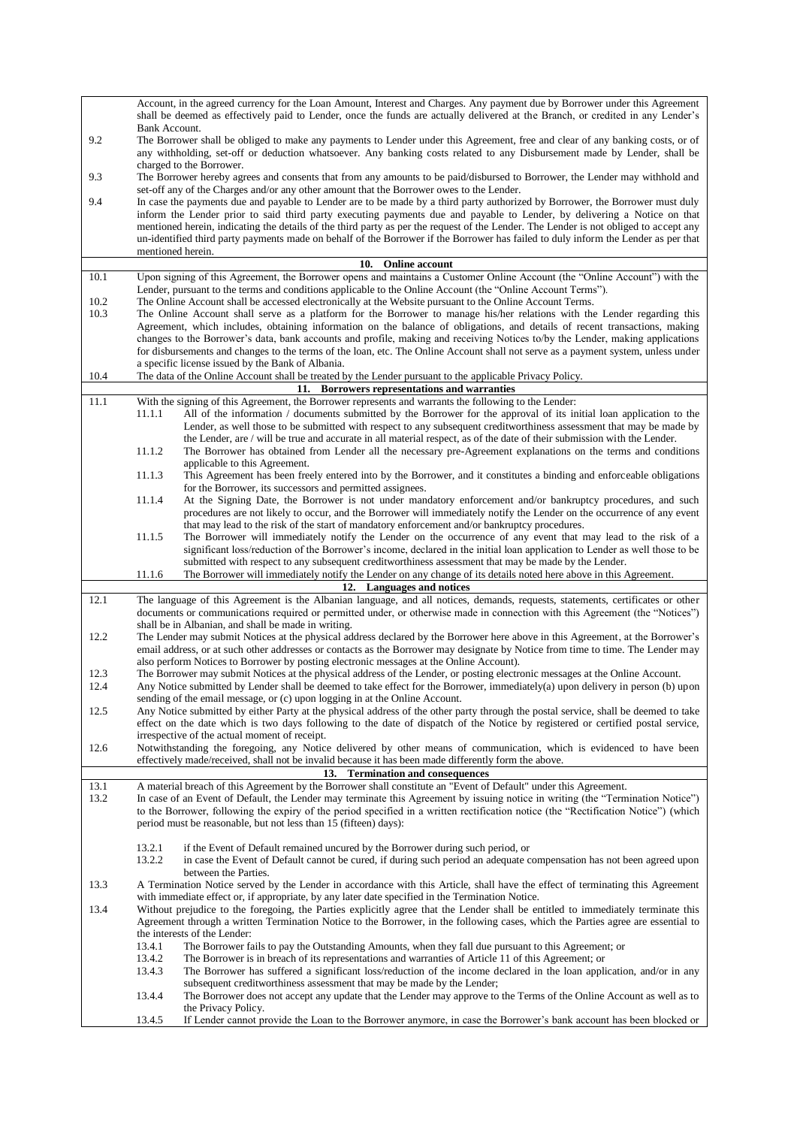|      | Account, in the agreed currency for the Loan Amount, Interest and Charges. Any payment due by Borrower under this Agreement                                                                                                                                     |
|------|-----------------------------------------------------------------------------------------------------------------------------------------------------------------------------------------------------------------------------------------------------------------|
|      | shall be deemed as effectively paid to Lender, once the funds are actually delivered at the Branch, or credited in any Lender's                                                                                                                                 |
|      | Bank Account.                                                                                                                                                                                                                                                   |
| 9.2  | The Borrower shall be obliged to make any payments to Lender under this Agreement, free and clear of any banking costs, or of                                                                                                                                   |
|      | any withholding, set-off or deduction whatsoever. Any banking costs related to any Disbursement made by Lender, shall be                                                                                                                                        |
|      | charged to the Borrower.                                                                                                                                                                                                                                        |
| 9.3  | The Borrower hereby agrees and consents that from any amounts to be paid/disbursed to Borrower, the Lender may withhold and                                                                                                                                     |
|      | set-off any of the Charges and/or any other amount that the Borrower owes to the Lender.                                                                                                                                                                        |
| 9.4  | In case the payments due and payable to Lender are to be made by a third party authorized by Borrower, the Borrower must duly                                                                                                                                   |
|      | inform the Lender prior to said third party executing payments due and payable to Lender, by delivering a Notice on that                                                                                                                                        |
|      | mentioned herein, indicating the details of the third party as per the request of the Lender. The Lender is not obliged to accept any                                                                                                                           |
|      | un-identified third party payments made on behalf of the Borrower if the Borrower has failed to duly inform the Lender as per that                                                                                                                              |
|      | mentioned herein.                                                                                                                                                                                                                                               |
|      | <b>Online account</b><br>10.                                                                                                                                                                                                                                    |
| 10.1 | Upon signing of this Agreement, the Borrower opens and maintains a Customer Online Account (the "Online Account") with the                                                                                                                                      |
|      | Lender, pursuant to the terms and conditions applicable to the Online Account (the "Online Account Terms").                                                                                                                                                     |
| 10.2 | The Online Account shall be accessed electronically at the Website pursuant to the Online Account Terms.                                                                                                                                                        |
| 10.3 | The Online Account shall serve as a platform for the Borrower to manage his/her relations with the Lender regarding this                                                                                                                                        |
|      | Agreement, which includes, obtaining information on the balance of obligations, and details of recent transactions, making                                                                                                                                      |
|      | changes to the Borrower's data, bank accounts and profile, making and receiving Notices to/by the Lender, making applications                                                                                                                                   |
|      | for disbursements and changes to the terms of the loan, etc. The Online Account shall not serve as a payment system, unless under                                                                                                                               |
|      | a specific license issued by the Bank of Albania.                                                                                                                                                                                                               |
| 10.4 | The data of the Online Account shall be treated by the Lender pursuant to the applicable Privacy Policy.                                                                                                                                                        |
| 11.1 | 11. Borrowers representations and warranties                                                                                                                                                                                                                    |
|      | With the signing of this Agreement, the Borrower represents and warrants the following to the Lender:<br>11.1.1<br>All of the information / documents submitted by the Borrower for the approval of its initial loan application to the                         |
|      | Lender, as well those to be submitted with respect to any subsequent creditworthiness assessment that may be made by                                                                                                                                            |
|      | the Lender, are / will be true and accurate in all material respect, as of the date of their submission with the Lender.                                                                                                                                        |
|      | 11.1.2<br>The Borrower has obtained from Lender all the necessary pre-Agreement explanations on the terms and conditions                                                                                                                                        |
|      | applicable to this Agreement.                                                                                                                                                                                                                                   |
|      | This Agreement has been freely entered into by the Borrower, and it constitutes a binding and enforceable obligations<br>11.1.3                                                                                                                                 |
|      | for the Borrower, its successors and permitted assignees.                                                                                                                                                                                                       |
|      | At the Signing Date, the Borrower is not under mandatory enforcement and/or bankruptcy procedures, and such<br>11.1.4                                                                                                                                           |
|      | procedures are not likely to occur, and the Borrower will immediately notify the Lender on the occurrence of any event                                                                                                                                          |
|      | that may lead to the risk of the start of mandatory enforcement and/or bankruptcy procedures.                                                                                                                                                                   |
|      | 11.1.5<br>The Borrower will immediately notify the Lender on the occurrence of any event that may lead to the risk of a                                                                                                                                         |
|      | significant loss/reduction of the Borrower's income, declared in the initial loan application to Lender as well those to be                                                                                                                                     |
|      | submitted with respect to any subsequent creditworthiness assessment that may be made by the Lender.                                                                                                                                                            |
|      | The Borrower will immediately notify the Lender on any change of its details noted here above in this Agreement.<br>11.1.6                                                                                                                                      |
|      | 12. Languages and notices                                                                                                                                                                                                                                       |
| 12.1 | The language of this Agreement is the Albanian language, and all notices, demands, requests, statements, certificates or other                                                                                                                                  |
|      | documents or communications required or permitted under, or otherwise made in connection with this Agreement (the "Notices")                                                                                                                                    |
|      | shall be in Albanian, and shall be made in writing.                                                                                                                                                                                                             |
| 12.2 | The Lender may submit Notices at the physical address declared by the Borrower here above in this Agreement, at the Borrower's                                                                                                                                  |
|      | email address, or at such other addresses or contacts as the Borrower may designate by Notice from time to time. The Lender may                                                                                                                                 |
| 12.3 | also perform Notices to Borrower by posting electronic messages at the Online Account).                                                                                                                                                                         |
| 12.4 | The Borrower may submit Notices at the physical address of the Lender, or posting electronic messages at the Online Account.<br>Any Notice submitted by Lender shall be deemed to take effect for the Borrower, immediately(a) upon delivery in person (b) upon |
|      | sending of the email message, or (c) upon logging in at the Online Account.                                                                                                                                                                                     |
| 12.5 | Any Notice submitted by either Party at the physical address of the other party through the postal service, shall be deemed to take                                                                                                                             |
|      | effect on the date which is two days following to the date of dispatch of the Notice by registered or certified postal service,                                                                                                                                 |
|      | irrespective of the actual moment of receipt.                                                                                                                                                                                                                   |
| 12.6 | Notwithstanding the foregoing, any Notice delivered by other means of communication, which is evidenced to have been                                                                                                                                            |
|      | effectively made/received, shall not be invalid because it has been made differently form the above.                                                                                                                                                            |
|      | 13. Termination and consequences                                                                                                                                                                                                                                |
| 13.1 | A material breach of this Agreement by the Borrower shall constitute an "Event of Default" under this Agreement.                                                                                                                                                |
| 13.2 | In case of an Event of Default, the Lender may terminate this Agreement by issuing notice in writing (the "Termination Notice")                                                                                                                                 |
|      | to the Borrower, following the expiry of the period specified in a written rectification notice (the "Rectification Notice") (which                                                                                                                             |
|      | period must be reasonable, but not less than 15 (fifteen) days):                                                                                                                                                                                                |
|      |                                                                                                                                                                                                                                                                 |
|      | 13.2.1<br>if the Event of Default remained uncured by the Borrower during such period, or                                                                                                                                                                       |
|      | in case the Event of Default cannot be cured, if during such period an adequate compensation has not been agreed upon<br>13.2.2                                                                                                                                 |
|      | between the Parties.                                                                                                                                                                                                                                            |
| 13.3 | A Termination Notice served by the Lender in accordance with this Article, shall have the effect of terminating this Agreement                                                                                                                                  |
|      | with immediate effect or, if appropriate, by any later date specified in the Termination Notice.                                                                                                                                                                |
| 13.4 | Without prejudice to the foregoing, the Parties explicitly agree that the Lender shall be entitled to immediately terminate this                                                                                                                                |
|      | Agreement through a written Termination Notice to the Borrower, in the following cases, which the Parties agree are essential to                                                                                                                                |
|      | the interests of the Lender:                                                                                                                                                                                                                                    |
|      |                                                                                                                                                                                                                                                                 |
|      | 13.4.1<br>The Borrower fails to pay the Outstanding Amounts, when they fall due pursuant to this Agreement; or                                                                                                                                                  |
|      | 13.4.2<br>The Borrower is in breach of its representations and warranties of Article 11 of this Agreement; or                                                                                                                                                   |
|      | 13.4.3<br>The Borrower has suffered a significant loss/reduction of the income declared in the loan application, and/or in any                                                                                                                                  |
|      | subsequent creditworthiness assessment that may be made by the Lender;                                                                                                                                                                                          |
|      | 13.4.4<br>The Borrower does not accept any update that the Lender may approve to the Terms of the Online Account as well as to                                                                                                                                  |
|      | the Privacy Policy.<br>13.4.5<br>If Lender cannot provide the Loan to the Borrower anymore, in case the Borrower's bank account has been blocked or                                                                                                             |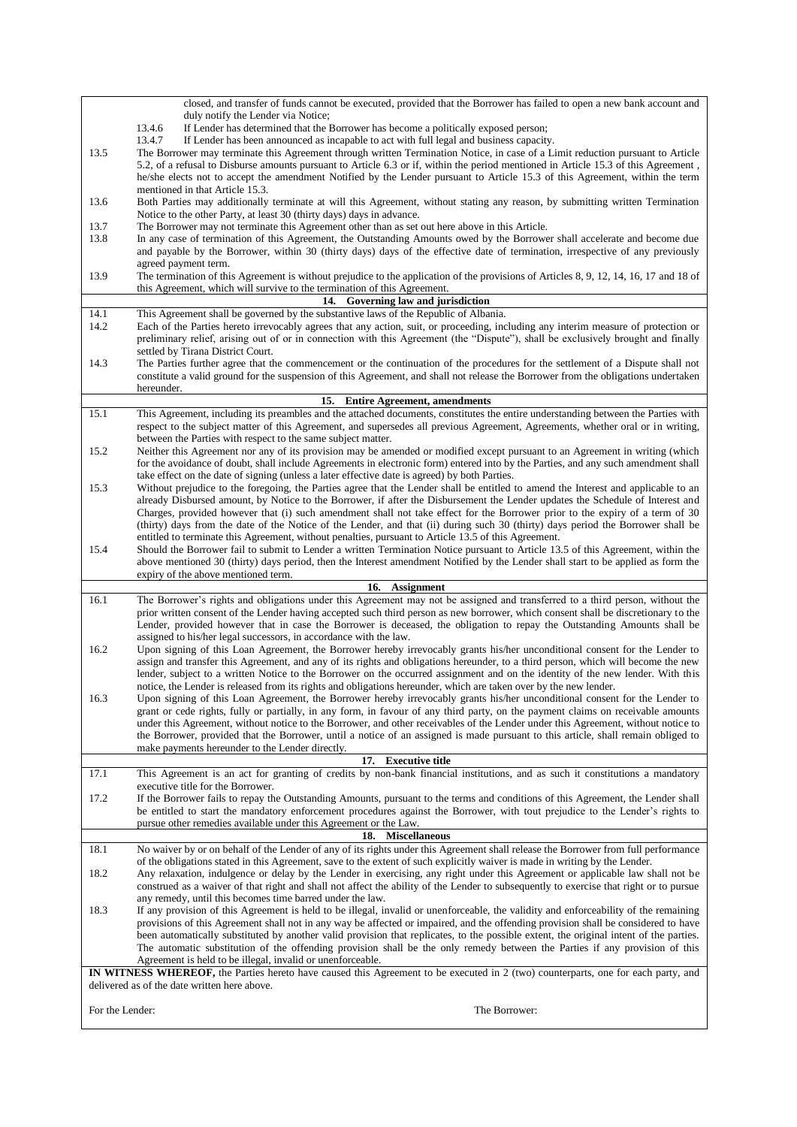<span id="page-5-1"></span><span id="page-5-0"></span>

|                 | closed, and transfer of funds cannot be executed, provided that the Borrower has failed to open a new bank account and                                                                                                                                                       |
|-----------------|------------------------------------------------------------------------------------------------------------------------------------------------------------------------------------------------------------------------------------------------------------------------------|
|                 | duly notify the Lender via Notice;<br>If Lender has determined that the Borrower has become a politically exposed person;<br>13.4.6                                                                                                                                          |
|                 | 13.4.7<br>If Lender has been announced as incapable to act with full legal and business capacity.                                                                                                                                                                            |
| 13.5            | The Borrower may terminate this Agreement through written Termination Notice, in case of a Limit reduction pursuant to Article                                                                                                                                               |
|                 | 5.2, of a refusal to Disburse amounts pursuant to Article 6.3 or if, within the period mentioned in Article 15.3 of this Agreement,                                                                                                                                          |
|                 | he/she elects not to accept the amendment Notified by the Lender pursuant to Article 15.3 of this Agreement, within the term                                                                                                                                                 |
|                 | mentioned in that Article 15.3.                                                                                                                                                                                                                                              |
| 13.6            | Both Parties may additionally terminate at will this Agreement, without stating any reason, by submitting written Termination<br>Notice to the other Party, at least 30 (thirty days) days in advance.                                                                       |
| 13.7            | The Borrower may not terminate this Agreement other than as set out here above in this Article.                                                                                                                                                                              |
| 13.8            | In any case of termination of this Agreement, the Outstanding Amounts owed by the Borrower shall accelerate and become due                                                                                                                                                   |
|                 | and payable by the Borrower, within 30 (thirty days) days of the effective date of termination, irrespective of any previously                                                                                                                                               |
|                 | agreed payment term.                                                                                                                                                                                                                                                         |
| 13.9            | The termination of this Agreement is without prejudice to the application of the provisions of Articles 8, 9, 12, 14, 16, 17 and 18 of                                                                                                                                       |
|                 | this Agreement, which will survive to the termination of this Agreement.                                                                                                                                                                                                     |
|                 | 14. Governing law and jurisdiction                                                                                                                                                                                                                                           |
| 14.1<br>14.2    | This Agreement shall be governed by the substantive laws of the Republic of Albania.<br>Each of the Parties hereto irrevocably agrees that any action, suit, or proceeding, including any interim measure of protection or                                                   |
|                 | preliminary relief, arising out of or in connection with this Agreement (the "Dispute"), shall be exclusively brought and finally                                                                                                                                            |
|                 | settled by Tirana District Court.                                                                                                                                                                                                                                            |
| 14.3            | The Parties further agree that the commencement or the continuation of the procedures for the settlement of a Dispute shall not                                                                                                                                              |
|                 | constitute a valid ground for the suspension of this Agreement, and shall not release the Borrower from the obligations undertaken                                                                                                                                           |
|                 | hereunder.                                                                                                                                                                                                                                                                   |
|                 | 15. Entire Agreement, amendments                                                                                                                                                                                                                                             |
| 15.1            | This Agreement, including its preambles and the attached documents, constitutes the entire understanding between the Parties with                                                                                                                                            |
|                 | respect to the subject matter of this Agreement, and supersedes all previous Agreement, Agreements, whether oral or in writing,<br>between the Parties with respect to the same subject matter.                                                                              |
| 15.2            | Neither this Agreement nor any of its provision may be amended or modified except pursuant to an Agreement in writing (which                                                                                                                                                 |
|                 | for the avoidance of doubt, shall include Agreements in electronic form) entered into by the Parties, and any such amendment shall                                                                                                                                           |
|                 | take effect on the date of signing (unless a later effective date is agreed) by both Parties.                                                                                                                                                                                |
| 15.3            | Without prejudice to the foregoing, the Parties agree that the Lender shall be entitled to amend the Interest and applicable to an                                                                                                                                           |
|                 | already Disbursed amount, by Notice to the Borrower, if after the Disbursement the Lender updates the Schedule of Interest and                                                                                                                                               |
|                 | Charges, provided however that (i) such amendment shall not take effect for the Borrower prior to the expiry of a term of 30                                                                                                                                                 |
|                 | (thirty) days from the date of the Notice of the Lender, and that (ii) during such 30 (thirty) days period the Borrower shall be<br>entitled to terminate this Agreement, without penalties, pursuant to Article 13.5 of this Agreement.                                     |
| 15.4            | Should the Borrower fail to submit to Lender a written Termination Notice pursuant to Article 13.5 of this Agreement, within the                                                                                                                                             |
|                 | above mentioned 30 (thirty) days period, then the Interest amendment Notified by the Lender shall start to be applied as form the                                                                                                                                            |
|                 | expiry of the above mentioned term.                                                                                                                                                                                                                                          |
|                 | 16. Assignment                                                                                                                                                                                                                                                               |
| 16.1            | The Borrower's rights and obligations under this Agreement may not be assigned and transferred to a third person, without the                                                                                                                                                |
|                 | prior written consent of the Lender having accepted such third person as new borrower, which consent shall be discretionary to the                                                                                                                                           |
|                 | Lender, provided however that in case the Borrower is deceased, the obligation to repay the Outstanding Amounts shall be                                                                                                                                                     |
|                 |                                                                                                                                                                                                                                                                              |
| 16.2            | assigned to his/her legal successors, in accordance with the law.                                                                                                                                                                                                            |
|                 | Upon signing of this Loan Agreement, the Borrower hereby irrevocably grants his/her unconditional consent for the Lender to<br>assign and transfer this Agreement, and any of its rights and obligations hereunder, to a third person, which will become the new             |
|                 | lender, subject to a written Notice to the Borrower on the occurred assignment and on the identity of the new lender. With this                                                                                                                                              |
|                 | notice, the Lender is released from its rights and obligations hereunder, which are taken over by the new lender.                                                                                                                                                            |
| 16.3            | Upon signing of this Loan Agreement, the Borrower hereby irrevocably grants his/her unconditional consent for the Lender to                                                                                                                                                  |
|                 | grant or cede rights, fully or partially, in any form, in favour of any third party, on the payment claims on receivable amounts                                                                                                                                             |
|                 | under this Agreement, without notice to the Borrower, and other receivables of the Lender under this Agreement, without notice to                                                                                                                                            |
|                 | the Borrower, provided that the Borrower, until a notice of an assigned is made pursuant to this article, shall remain obliged to<br>make payments hereunder to the Lender directly.                                                                                         |
|                 | 17. Executive title                                                                                                                                                                                                                                                          |
| 17.1            | This Agreement is an act for granting of credits by non-bank financial institutions, and as such it constitutions a mandatory                                                                                                                                                |
|                 | executive title for the Borrower.                                                                                                                                                                                                                                            |
| 17.2            | If the Borrower fails to repay the Outstanding Amounts, pursuant to the terms and conditions of this Agreement, the Lender shall                                                                                                                                             |
|                 | be entitled to start the mandatory enforcement procedures against the Borrower, with tout prejudice to the Lender's rights to                                                                                                                                                |
|                 | pursue other remedies available under this Agreement or the Law.                                                                                                                                                                                                             |
| 18.1            | 18. Miscellaneous<br>No waiver by or on behalf of the Lender of any of its rights under this Agreement shall release the Borrower from full performance                                                                                                                      |
|                 | of the obligations stated in this Agreement, save to the extent of such explicitly waiver is made in writing by the Lender.                                                                                                                                                  |
| 18.2            | Any relaxation, indulgence or delay by the Lender in exercising, any right under this Agreement or applicable law shall not be                                                                                                                                               |
|                 | construed as a waiver of that right and shall not affect the ability of the Lender to subsequently to exercise that right or to pursue                                                                                                                                       |
|                 | any remedy, until this becomes time barred under the law.                                                                                                                                                                                                                    |
| 18.3            | If any provision of this Agreement is held to be illegal, invalid or unenforceable, the validity and enforceability of the remaining                                                                                                                                         |
|                 | provisions of this Agreement shall not in any way be affected or impaired, and the offending provision shall be considered to have<br>been automatically substituted by another valid provision that replicates, to the possible extent, the original intent of the parties. |
|                 | The automatic substitution of the offending provision shall be the only remedy between the Parties if any provision of this                                                                                                                                                  |
|                 | Agreement is held to be illegal, invalid or unenforceable.                                                                                                                                                                                                                   |
|                 | IN WITNESS WHEREOF, the Parties hereto have caused this Agreement to be executed in 2 (two) counterparts, one for each party, and                                                                                                                                            |
|                 | delivered as of the date written here above.                                                                                                                                                                                                                                 |
| For the Lender: | The Borrower:                                                                                                                                                                                                                                                                |